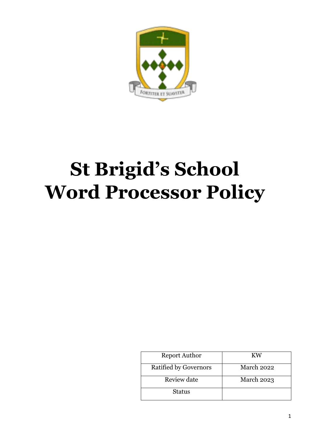

# **St Brigid's School Word Processor Policy**

| <b>Report Author</b>         | KW                |
|------------------------------|-------------------|
| <b>Ratified by Governors</b> | March 2022        |
| Review date                  | <b>March 2023</b> |
| <b>Status</b>                |                   |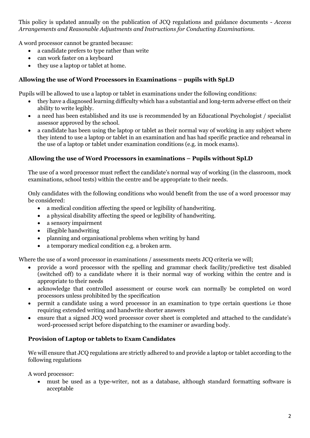This policy is updated annually on the publication of JCQ regulations and guidance documents - *Access Arrangements and Reasonable Adjustments and Instructions for Conducting Examinations.*

A word processor cannot be granted because:

- a candidate prefers to type rather than write
- can work faster on a keyboard
- they use a laptop or tablet at home.

## **Allowing the use of Word Processors in Examinations – pupils with SpLD**

Pupils will be allowed to use a laptop or tablet in examinations under the following conditions:

- they have a diagnosed learning difficulty which has a substantial and long-term adverse effect on their ability to write legibly.
- a need has been established and its use is recommended by an Educational Psychologist / specialist assessor approved by the school.
- a candidate has been using the laptop or tablet as their normal way of working in any subject where they intend to use a laptop or tablet in an examination and has had specific practice and rehearsal in the use of a laptop or tablet under examination conditions (e.g. in mock exams).

## **Allowing the use of Word Processors in examinations – Pupils without SpLD**

The use of a word processor must reflect the candidate's normal way of working (in the classroom, mock examinations, school tests) within the centre and be appropriate to their needs.

Only candidates with the following conditions who would benefit from the use of a word processor may be considered:

- a medical condition affecting the speed or legibility of handwriting.
- a physical disability affecting the speed or legibility of handwriting.
- a sensory impairment
- illegible handwriting
- planning and organisational problems when writing by hand
- a temporary medical condition e.g. a broken arm.

Where the use of a word processor in examinations / assessments meets JCQ criteria we will;

- provide a word processor with the spelling and grammar check facility/predictive test disabled (switched off) to a candidate where it is their normal way of working within the centre and is appropriate to their needs
- acknowledge that controlled assessment or course work can normally be completed on word processors unless prohibited by the specification
- permit a candidate using a word processor in an examination to type certain questions i.e those requiring extended writing and handwrite shorter answers
- ensure that a signed JCQ word processor cover sheet is completed and attached to the candidate's word-processed script before dispatching to the examiner or awarding body.

## **Provision of Laptop or tablets to Exam Candidates**

We will ensure that JCQ regulations are strictly adhered to and provide a laptop or tablet according to the following regulations

A word processor:

• must be used as a type-writer, not as a database, although standard formatting software is acceptable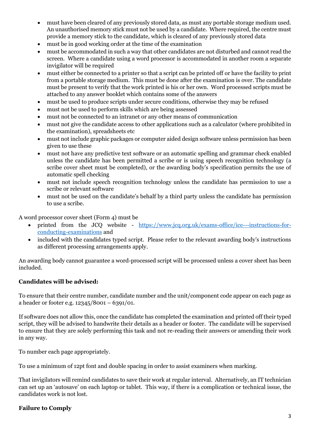- must have been cleared of any previously stored data, as must any portable storage medium used. An unauthorised memory stick must not be used by a candidate. Where required, the centre must provide a memory stick to the candidate, which is cleared of any previously stored data
- must be in good working order at the time of the examination
- must be accommodated in such a way that other candidates are not disturbed and cannot read the screen. Where a candidate using a word processor is accommodated in another room a separate invigilator will be required
- must either be connected to a printer so that a script can be printed off or have the facility to print from a portable storage medium. This must be done after the examination is over. The candidate must be present to verify that the work printed is his or her own. Word processed scripts must be attached to any answer booklet which contains some of the answers
- must be used to produce scripts under secure conditions, otherwise they may be refused
- must not be used to perform skills which are being assessed
- must not be connected to an intranet or any other means of communication
- must not give the candidate access to other applications such as a calculator (where prohibited in the examination), spreadsheets etc
- must not include graphic packages or computer aided design software unless permission has been given to use these
- must not have any predictive text software or an automatic spelling and grammar check enabled unless the candidate has been permitted a scribe or is using speech recognition technology (a scribe cover sheet must be completed), or the awarding body's specification permits the use of automatic spell checking
- must not include speech recognition technology unless the candidate has permission to use a scribe or relevant software
- must not be used on the candidate's behalf by a third party unless the candidate has permission to use a scribe.

A word processor cover sheet (Form 4) must be

- printed from the JCQ website [https://www.jcq.org.uk/exams-office/ice---instructions-for](https://www.jcq.org.uk/exams-office/ice---instructions-for-conducting-examinations)[conducting-examinations](https://www.jcq.org.uk/exams-office/ice---instructions-for-conducting-examinations) and
- included with the candidates typed script. Please refer to the relevant awarding body's instructions as different processing arrangements apply.

An awarding body cannot guarantee a word-processed script will be processed unless a cover sheet has been included.

#### **Candidates will be advised:**

To ensure that their centre number, candidate number and the unit/component code appear on each page as a header or footer e.g.  $12345/8001 - 6391/01$ .

If software does not allow this, once the candidate has completed the examination and printed off their typed script, they will be advised to handwrite their details as a header or footer. The candidate will be supervised to ensure that they are solely performing this task and not re-reading their answers or amending their work in any way.

To number each page appropriately.

To use a minimum of 12pt font and double spacing in order to assist examiners when marking.

That invigilators will remind candidates to save their work at regular interval. Alternatively, an IT technician can set up an 'autosave' on each laptop or tablet. This way, if there is a complication or technical issue, the candidates work is not lost.

#### **Failure to Comply**